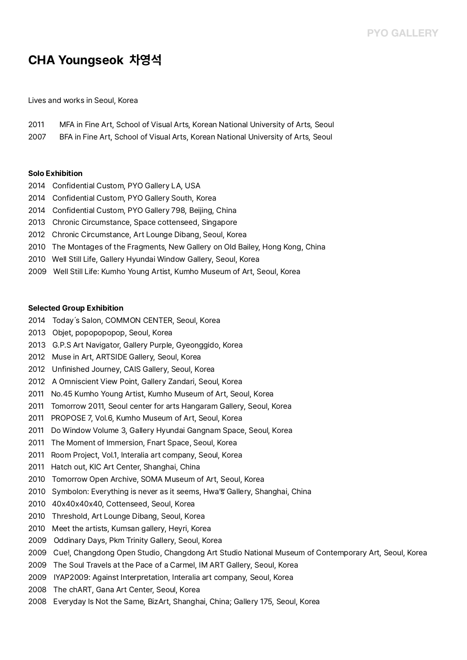# **CHA Youngseok 차영석**

Lives and works in Seoul, Korea

| 2011 |  | MFA in Fine Art, School of Visual Arts, Korean National University of Arts, Seoul |  |
|------|--|-----------------------------------------------------------------------------------|--|
|      |  |                                                                                   |  |

2007 BFA in Fine Art, School of Visual Arts, Korean National University of Arts, Seoul

#### **Solo Exhibition**

- 2014 Confidential Custom, PYO Gallery LA, USA
- 2014 Confidential Custom, PYO Gallery South, Korea
- 2014 Confidential Custom, PYO Gallery 798, Beijing, China
- 2013 Chronic Circumstance, Space cottenseed, Singapore
- 2012 Chronic Circumstance, Art Lounge Dibang, Seoul, Korea
- 2010 The Montages of the Fragments, New Gallery on Old Bailey, Hong Kong, China
- 
- 2010 Well Still Life, Gallery Hyundai Window Gallery, Seoul, Korea 2009 Well Still Life: Kumho Young Artist, Kumho Museum of Art, Seoul, Korea

#### **Selected Group Exhibition**

- 2014 Today's Salon, COMMON CENTER, Seoul, Korea
- 2013 Objet, popopopopop, Seoul, Korea
- 2013 G.P.S Art Navigator, Gallery Purple, Gyeonggido, Korea
- 2012 Muse in Art, ARTSIDE Gallery, Seoul, Korea
- 2012 Unfinished Journey, CAIS Gallery, Seoul, Korea
- 
- 
- 2012 A Omniscient View Point, Gallery Zandari, Seoul, Korea<br>2011 No.45 Kumho Young Artist, Kumho Museum of Art, Seoul, Korea<br>2011 Tomorrow 2011, Seoul center for arts Hangaram Gallery, Seoul, Korea<br>2011 PROPOSE 7, Vol.6, K
- 
- 
- 2011 The Moment of Immersion, Fnart Space, Seoul, Korea
- 2011 Room Project, Vol.1, Interalia art company, Seoul, Korea
- 2011 Hatch out, KIC Art Center, Shanghai, China
- 2010 Tomorrow Open Archive, SOMA Museum of Art, Seoul, Korea
- 2010 Symbolon: Everything is never as it seems, Hwa''' Gallery, Shanghai, China<br>2010 40x40x40x40, Cottenseed, Seoul, Korea
- 
- 2010 Threshold, Art Lounge Dibang, Seoul, Korea
- 2010 Meet the artists, Kumsan gallery, Heyri, Korea
- 2009 Oddinary Days, Pkm Trinity Gallery, Seoul, Korea
- 2009 Cue!, Changdong Open Studio, Changdong Art Studio National Museum of Contemporary Art, Seoul, Korea
- 2009 The Soul Travels at the Pace of a Carmel, IM ART Gallery, Seoul, Korea
- 2009 IYAP2009: Against Interpretation, Interalia art company, Seoul, Korea
- 2008 The chART, Gana Art Center, Seoul, Korea
- 2008 Everyday Is Not the Same, BizArt, Shanghai, China; Gallery 175, Seoul, Korea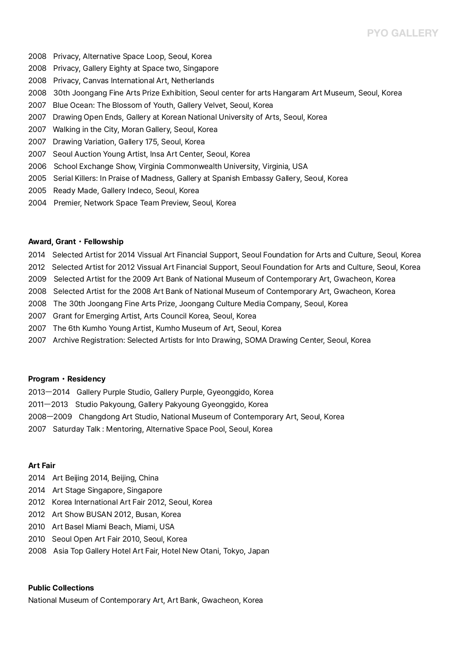## **PYO GALLERY**

- 
- 
- 
- 2008 Privacy, Alternative Space Loop, Seoul, Korea<br>2008 Privacy, Gallery Eighty at Space two, Singapore<br>2008 Privacy, Canvas International Art, Netherlands<br>2008 30th Joongang Fine Arts Prize Exhibition, Seoul center for ar
- 
- 2007 Drawing Open Ends, Gallery at Korean National University of Arts, Seoul, Korea
- 2007 Walking in the City, Moran Gallery, Seoul, Korea
- 2007 Drawing Variation, Gallery 175, Seoul, Korea
- 2007 Seoul Auction Young Artist, Insa Art Center, Seoul, Korea
- 2006 School Exchange Show, Virginia Commonwealth University, Virginia, USA
- 2005 Serial Killers: In Praise of Madness, Gallery at Spanish Embassy Gallery, Seoul, Korea
- 2005 Ready Made, Gallery Indeco, Seoul, Korea
- 2004 Premier, Network Space Team Preview, Seoul, Korea

#### **Award, Grant**・**Fellowship**

- 2014 Selected Artist for 2014 Vissual Art Financial Support, Seoul Foundation for Arts and Culture, Seoul, Korea<br>2012 Selected Artist for 2012 Vissual Art Financial Support, Seoul Foundation for Arts and Culture, Seoul, Ko
- 
- 2009 Selected Artist for the 2009 Art Bank of National Museum of Contemporary Art, Gwacheon, Korea
- 2008 Selected Artist for the 2008 Art Bank of National Museum of Contemporary Art, Gwacheon, Korea
- 2008 The 30th Joongang Fine Arts Prize, Joongang Culture Media Company, Seoul, Korea
- 
- 2007 Grant for Emerging Artist, Arts Council Korea, Seoul, Korea 2007 The 6th Kumho Young Artist, Kumho Museum of Art, Seoul, Korea
- 2007 Archive Registration: Selected Artists for Into Drawing, SOMA Drawing Center, Seoul, Korea

#### **Program**・**Residency**

- 2013ㅡ2014 Gallery Purple Studio, Gallery Purple, Gyeonggido, Korea
- 2011ㅡ2013 Studio Pakyoung, Gallery Pakyoung Gyeonggido, Korea
- 2008ㅡ2009 Changdong Art Studio, National Museum of Contemporary Art, Seoul, Korea
- 2007 Saturday Talk : Mentoring, Alternative Space Pool, Seoul, Korea

#### **Art Fair**

- 2014 Art Beijing 2014, Beijing, China
- 2014 Art Stage Singapore, Singapore
- 2012 Korea International Art Fair 2012, Seoul, Korea 2012 Art Show BUSAN 2012, Busan, Korea
- 
- 2010 Art Basel Miami Beach, Miami, USA
- 
- 2010 Seoul Open Art Fair 2010, Seoul, Korea 2008 Asia Top Gallery Hotel Art Fair, Hotel New Otani, Tokyo, Japan

### **Public Collections**

National Museum of Contemporary Art, Art Bank, Gwacheon, Korea